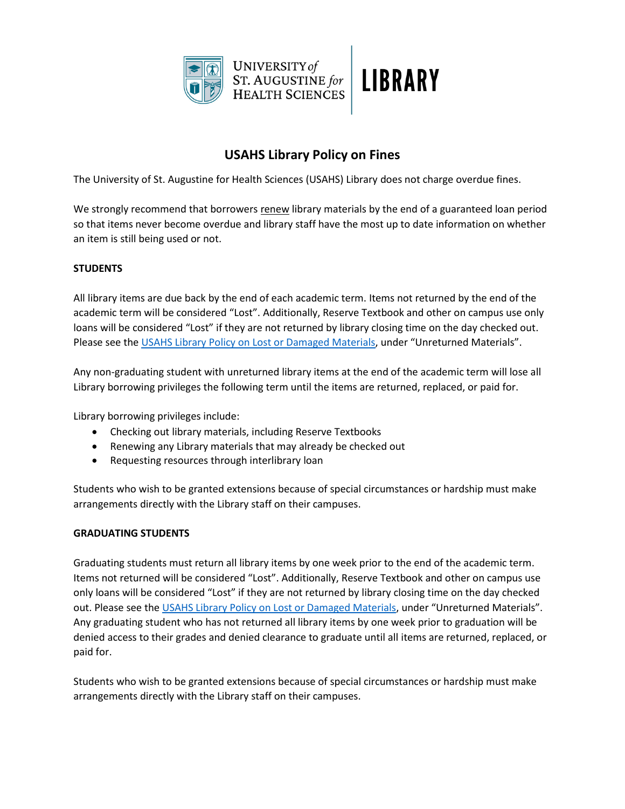

## **USAHS Library Policy on Fines**

The University of St. Augustine for Health Sciences (USAHS) Library does not charge overdue fines.

We strongly recommend that borrowers renew library materials by the end of a guaranteed loan period so that items never become overdue and library staff have the most up to date information on whether an item is still being used or not.

## **STUDENTS**

All library items are due back by the end of each academic term. Items not returned by the end of the academic term will be considered "Lost". Additionally, Reserve Textbook and other on campus use only loans will be considered "Lost" if they are not returned by library closing time on the day checked out. Please see the [USAHS Library Policy on Lost or Damaged Materials](https://library.usa.edu/about-us/policies), under "Unreturned Materials".

Any non-graduating student with unreturned library items at the end of the academic term will lose all Library borrowing privileges the following term until the items are returned, replaced, or paid for.

Library borrowing privileges include:

- Checking out library materials, including Reserve Textbooks
- Renewing any Library materials that may already be checked out
- Requesting resources through interlibrary loan

Students who wish to be granted extensions because of special circumstances or hardship must make arrangements directly with the Library staff on their campuses.

## **GRADUATING STUDENTS**

Graduating students must return all library items by one week prior to the end of the academic term. Items not returned will be considered "Lost". Additionally, Reserve Textbook and other on campus use only loans will be considered "Lost" if they are not returned by library closing time on the day checked out. Please see the [USAHS Library Policy on Lost or Damaged Materials](https://library.usa.edu/about-us/policies), under "Unreturned Materials". Any graduating student who has not returned all library items by one week prior to graduation will be denied access to their grades and denied clearance to graduate until all items are returned, replaced, or paid for.

Students who wish to be granted extensions because of special circumstances or hardship must make arrangements directly with the Library staff on their campuses.